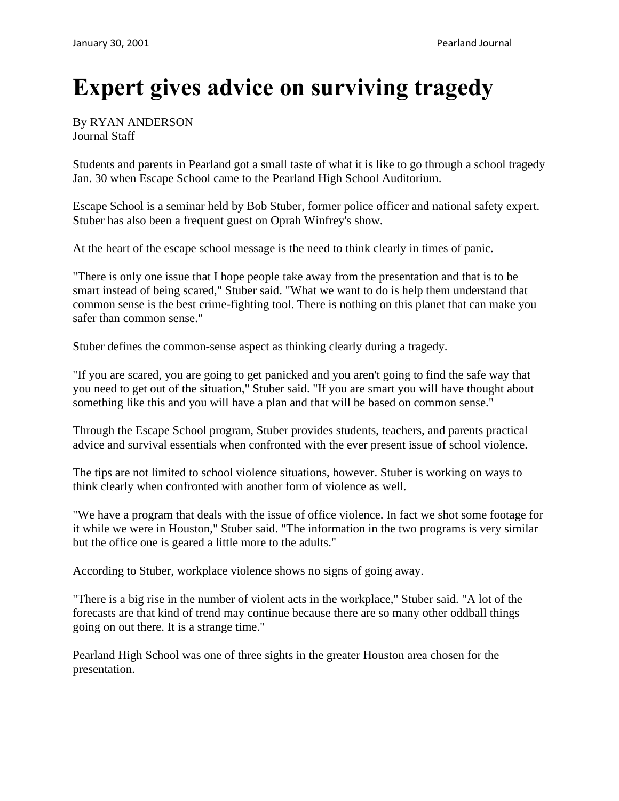## **Expert gives advice on surviving tragedy**

## By RYAN ANDERSON Journal Staff

Students and parents in Pearland got a small taste of what it is like to go through a school tragedy Jan. 30 when Escape School came to the Pearland High School Auditorium.

Escape School is a seminar held by Bob Stuber, former police officer and national safety expert. Stuber has also been a frequent guest on Oprah Winfrey's show.

At the heart of the escape school message is the need to think clearly in times of panic.

"There is only one issue that I hope people take away from the presentation and that is to be smart instead of being scared," Stuber said. "What we want to do is help them understand that common sense is the best crime-fighting tool. There is nothing on this planet that can make you safer than common sense."

Stuber defines the common-sense aspect as thinking clearly during a tragedy.

"If you are scared, you are going to get panicked and you aren't going to find the safe way that you need to get out of the situation," Stuber said. "If you are smart you will have thought about something like this and you will have a plan and that will be based on common sense."

Through the Escape School program, Stuber provides students, teachers, and parents practical advice and survival essentials when confronted with the ever present issue of school violence.

The tips are not limited to school violence situations, however. Stuber is working on ways to think clearly when confronted with another form of violence as well.

"We have a program that deals with the issue of office violence. In fact we shot some footage for it while we were in Houston," Stuber said. "The information in the two programs is very similar but the office one is geared a little more to the adults."

According to Stuber, workplace violence shows no signs of going away.

"There is a big rise in the number of violent acts in the workplace," Stuber said. "A lot of the forecasts are that kind of trend may continue because there are so many other oddball things going on out there. It is a strange time."

Pearland High School was one of three sights in the greater Houston area chosen for the presentation.